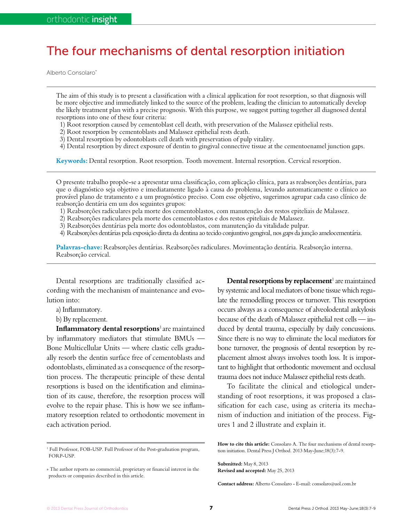## The four mechanisms of dental resorption initiation

Alberto Consolaro\*

The aim of this study is to present a classification with a clinical application for root resorption, so that diagnosis will be more objective and immediately linked to the source of the problem, leading the clinician to automatically develop the likely treatment plan with a precise prognosis. With this purpose, we suggest putting together all diagnosed dental resorptions into one of these four criteria:

- 1) Root resorption caused by cementoblast cell death, with preservation of the Malassez epithelial rests.
- 2) Root resorption by cementoblasts and Malassez epithelial rests death.
- 3) Dental resorption by odontoblasts cell death with preservation of pulp vitality.
- 4) Dental resorption by direct exposure of dentin to gingival connective tissue at the cementoenamel junction gaps.

**Keywords:** Dental resorption. Root resorption. Tooth movement. Internal resorption. Cervical resorption.

O presente trabalho propõe-se a apresentar uma classificação, com aplicação clínica, para as reabsorções dentárias, para que o diagnóstico seja objetivo e imediatamente ligado à causa do problema, levando automaticamente o clínico ao provável plano de tratamento e a um prognóstico preciso. Com esse objetivo, sugerimos agrupar cada caso clínico de reabsorção dentária em um dos seguintes grupos:

1) Reabsorções radiculares pela morte dos cementoblastos, com manutenção dos restos epiteliais de Malassez.

- 2) Reabsorções radiculares pela morte dos cementoblastos e dos restos epiteliais de Malassez.
- 3) Reabsorções dentárias pela morte dos odontoblastos, com manutenção da vitalidade pulpar.

4) Reabsorções dentárias pela exposição direta da dentina ao tecido conjuntivo gengival, nos gaps da junção amelocementária.

**Palavras-chave:** Reabsorções dentárias. Reabsorções radiculares. Movimentação dentária. Reabsorção interna. Reabsorção cervical.

Dental resorptions are traditionally classified according with the mechanism of maintenance and evolution into:

- a) Inflammatory.
- b) By replacement.

**Inflammatory dental resorptions**1 are maintained by inflammatory mediators that stimulate BMUs — Bone Multicellular Units — where clastic cells gradually resorb the dentin surface free of cementoblasts and odontoblasts, eliminated as a consequence of the resorption process. The therapeutic principle of these dental resorptions is based on the identification and elimination of its cause, therefore, the resorption process will evolve to the repair phase. This is how we see inflammatory resorption related to orthodontic movement in each activation period.

Dental resorptions by replacement<sup>1</sup> are maintained by systemic and local mediators of bone tissue which regulate the remodelling process or turnover. This resorption occurs always as a consequence of alveolodental ankylosis because of the death of Malassez epithelial rest cells — induced by dental trauma, especially by daily concussions. Since there is no way to eliminate the local mediators for bone turnover, the prognosis of dental resorption by replacement almost always involves tooth loss. It is important to highlight that orthodontic movement and occlusal trauma does not induce Malassez epithelial rests death.

To facilitate the clinical and etiological understanding of root resorptions, it was proposed a classification for each case, using as criteria its mechanism of induction and initiation of the process. Figures 1 and 2 illustrate and explain it.

**Submitted:** May 8, 2013 **Revised and accepted:** May 25, 2013

**Contact address:** Alberto Consolaro - E-mail: consolaro@uol.com.br

<sup>&</sup>lt;sup>1</sup> Full Professor, FOB-USP. Full Professor of the Post-graduation program, FORP-USP.

<sup>»</sup> The author reports no commercial, proprietary or financial interest in the products or companies described in this article.

**How to cite this article:** Consolaro A. The four mechanisms of dental resorption initiation. Dental Press J Orthod. 2013 May-June;18(3):7-9.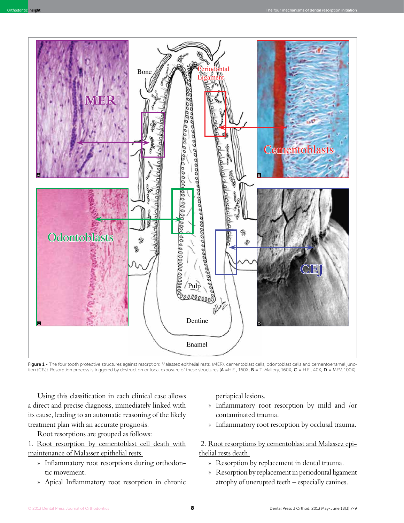

Figure 1 - The four tooth protective structures against resorption: Malassez epithelial rests, (MER), cementoblast cells, odontoblast cells and cementoenamel junction (CEJ). Resorption process is triggered by destruction or local exposure of these structures (A =H.E., 160X; B = T. Mallory, 160X; C = H.E., 40X; D = MEV, 100X).

Using this classification in each clinical case allows a direct and precise diagnosis, immediately linked with its cause, leading to an automatic reasoning of the likely treatment plan with an accurate prognosis.

Root resorptions are grouped as follows:

1. Root resorption by cementoblast cell death with maintenance of Malassez epithelial rests

- » Inflammatory root resorptions during orthodontic movement.
- » Apical Inflammatory root resorption in chronic

periapical lesions.

- » Inflammatory root resorption by mild and /or contaminated trauma.
- » Inflammatory root resorption by occlusal trauma.

 2. Root resorptions by cementoblast and Malassez epithelial rests death

- » Resorption by replacement in dental trauma.
- » Resorption by replacement in periodontal ligament atrophy of unerupted teeth – especially canines.